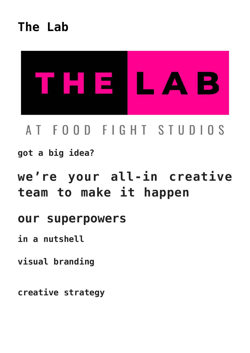**[The Lab](https://foodfightstudios.com/the-lab/)**



# AT FOOD FIGHT STUDIOS

**got a big idea?**

# **we're your all-in creative team to make it happen**

### **our superpowers**

**in a nutshell**

**visual branding**

**creative strategy**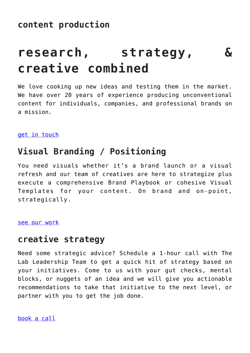# **research, strategy, & creative combined**

We love cooking up new ideas and testing them in the market. We have over 20 years of experience producing unconventional content for individuals, companies, and professional brands on a mission.

[get in touch](#page--1-0)

#### **Visual Branding / Positioning**

You need visuals whether it's a brand launch or a visual refresh and our team of creatives are here to strategize plus execute a comprehensive Brand Playbook or cohesive Visual Templates for your content. On brand and on-point, strategically.

[see our work](https://foodfightstudios.com/work/)

#### **creative strategy**

Need some strategic advice? Schedule a 1-hour call with The Lab Leadership Team to get a quick hit of strategy based on your initiatives. Come to us with your gut checks, mental blocks, or nuggets of an idea and we will give you actionable recommendations to take that initiative to the next level, or partner with you to get the job done.

[book a call](https://calendly.com/the-visual-impact-lab/creative-strategy)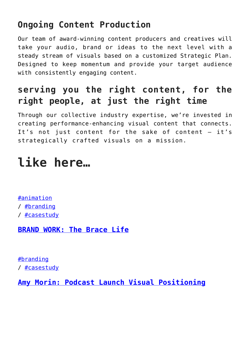### **Ongoing Content Production**

Our team of award-winning content producers and creatives will take your audio, brand or ideas to the next level with a steady stream of visuals based on a customized Strategic Plan. Designed to keep momentum and provide your target audience with consistently engaging content.

## **serving you the right content, for the right people, at just the right time**

Through our collective industry expertise, we're invested in creating performance-enhancing visual content that connects. It's not just content for the sake of content – it's strategically crafted visuals on a mission.

# **like here…**

[#animation](https://foodfightstudios.com/category/animation/) / [#branding](https://foodfightstudios.com/category/branding/) / [#casestudy](https://foodfightstudios.com/category/case-study/)

**[BRAND WORK: The Brace Life](https://foodfightstudios.com/brand-work-the-brace-life/)**

[#branding](https://foodfightstudios.com/category/branding/) / [#casestudy](https://foodfightstudios.com/category/case-study/)

**[Amy Morin: Podcast Launch Visual Positioning](https://foodfightstudios.com/podcast-launch-visual-positioning-for-amy-morin/)**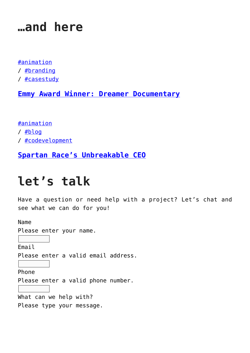## **…and here**

#### [#animation](https://foodfightstudios.com/category/animation/)

- / [#branding](https://foodfightstudios.com/category/branding/)
- / [#casestudy](https://foodfightstudios.com/category/case-study/)

**[Emmy Award Winner: Dreamer Documentary](https://foodfightstudios.com/brand-work-dreamer-documentary/)**

[#animation](https://foodfightstudios.com/category/animation/) / [#blog](https://foodfightstudios.com/category/blog/) / [#codevelopment](https://foodfightstudios.com/category/co-development/)

**[Spartan Race's Unbreakable CEO](https://foodfightstudios.com/spartan-race-unbreakable-ceo/)**

# **let's talk**

Have a question or need help with a project? Let's chat and see what we can do for you!

Name Please enter your name. Email Please enter a valid email address. Phone Please enter a valid phone number. What can we help with? Please type your message.